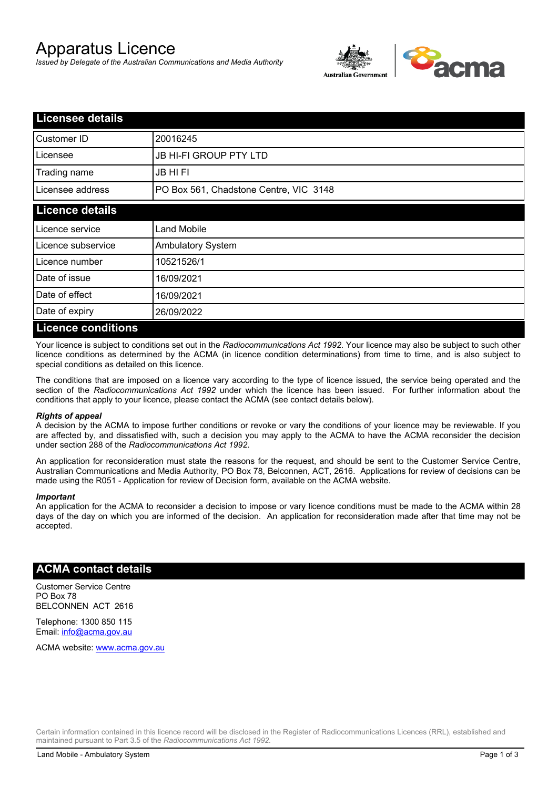# Apparatus Licence

*Issued by Delegate of the Australian Communications and Media Authority*



| <b>Licensee details</b>   |                                        |  |
|---------------------------|----------------------------------------|--|
| Customer ID               | 20016245                               |  |
| Licensee                  | <b>JB HI-FI GROUP PTY LTD</b>          |  |
| Trading name              | <b>JB HIFI</b>                         |  |
| Licensee address          | PO Box 561, Chadstone Centre, VIC 3148 |  |
| <b>Licence details</b>    |                                        |  |
| Licence service           | <b>Land Mobile</b>                     |  |
| Licence subservice        | Ambulatory System                      |  |
| Licence number            | 10521526/1                             |  |
| Date of issue             | 16/09/2021                             |  |
| Date of effect            | 16/09/2021                             |  |
| Date of expiry            | 26/09/2022                             |  |
| <b>Licence conditions</b> |                                        |  |

Your licence is subject to conditions set out in the *Radiocommunications Act 1992*. Your licence may also be subject to such other licence conditions as determined by the ACMA (in licence condition determinations) from time to time, and is also subject to special conditions as detailed on this licence.

The conditions that are imposed on a licence vary according to the type of licence issued, the service being operated and the section of the *Radiocommunications Act 1992* under which the licence has been issued. For further information about the conditions that apply to your licence, please contact the ACMA (see contact details below).

### *Rights of appeal*

A decision by the ACMA to impose further conditions or revoke or vary the conditions of your licence may be reviewable. If you are affected by, and dissatisfied with, such a decision you may apply to the ACMA to have the ACMA reconsider the decision under section 288 of the *Radiocommunications Act 1992*.

An application for reconsideration must state the reasons for the request, and should be sent to the Customer Service Centre, Australian Communications and Media Authority, PO Box 78, Belconnen, ACT, 2616. Applications for review of decisions can be made using the R051 - Application for review of Decision form, available on the ACMA website.

#### *Important*

An application for the ACMA to reconsider a decision to impose or vary licence conditions must be made to the ACMA within 28 days of the day on which you are informed of the decision. An application for reconsideration made after that time may not be accepted.

### **ACMA contact details**

Customer Service Centre PO Box 78 BELCONNEN ACT 2616

Telephone: 1300 850 115 Email: info@acma.gov.au

ACMA website: www.acma.gov.au

Certain information contained in this licence record will be disclosed in the Register of Radiocommunications Licences (RRL), established and maintained pursuant to Part 3.5 of the *Radiocommunications Act 1992.*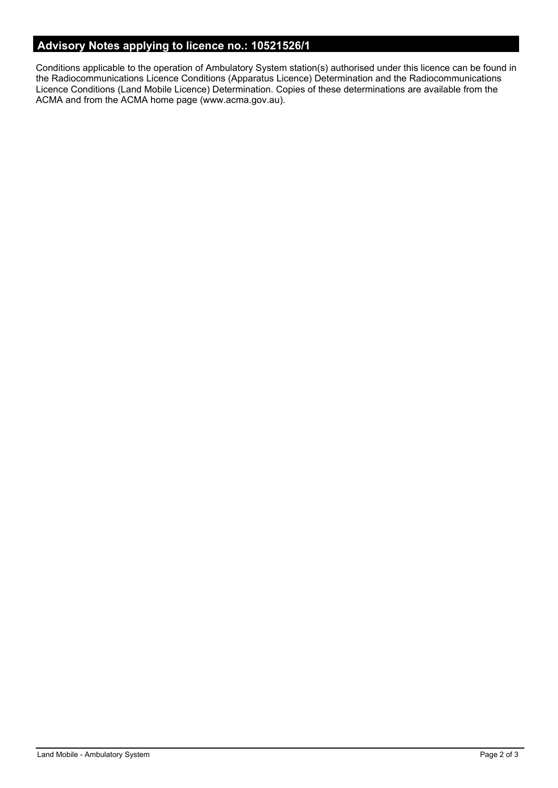# **Advisory Notes applying to licence no.: 10521526/1**

Conditions applicable to the operation of Ambulatory System station(s) authorised under this licence can be found in the Radiocommunications Licence Conditions (Apparatus Licence) Determination and the Radiocommunications Licence Conditions (Land Mobile Licence) Determination. Copies of these determinations are available from the ACMA and from the ACMA home page (www.acma.gov.au).